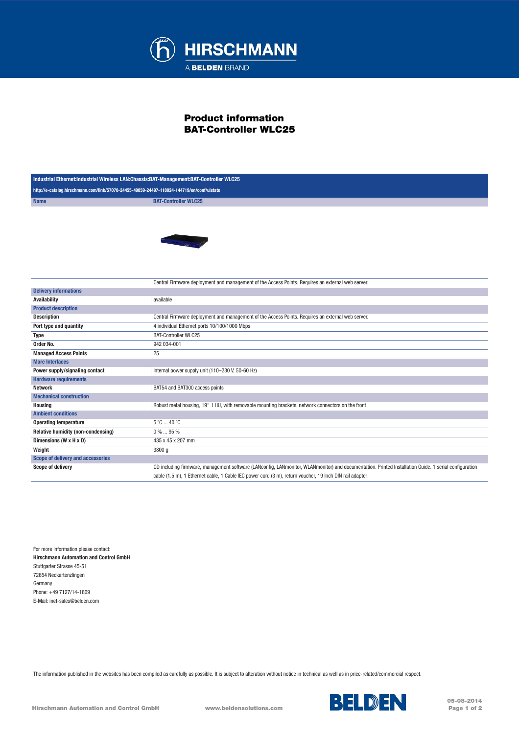

## Product information BAT-Controller WLC25

| Industrial Ethernet:Industrial Wireless LAN:Chassis:BAT-Management:BAT-Controller WLC25    |                                                                                                                                                       |
|--------------------------------------------------------------------------------------------|-------------------------------------------------------------------------------------------------------------------------------------------------------|
| http://e-catalog.hirschmann.com/link/57078-24455-49859-24497-118024-144719/en/conf/uistate |                                                                                                                                                       |
| <b>Name</b>                                                                                | <b>BAT-Controller WLC25</b>                                                                                                                           |
|                                                                                            | <b>College</b>                                                                                                                                        |
|                                                                                            | Central Firmware deployment and management of the Access Points. Requires an external web server.                                                     |
| <b>Delivery informations</b>                                                               |                                                                                                                                                       |
| <b>Availability</b>                                                                        | available                                                                                                                                             |
| <b>Product description</b>                                                                 |                                                                                                                                                       |
| <b>Description</b>                                                                         | Central Firmware deployment and management of the Access Points. Requires an external web server.                                                     |
| Port type and quantity                                                                     | 4 individual Ethernet ports 10/100/1000 Mbps                                                                                                          |
| <b>Type</b>                                                                                | <b>BAT-Controller WLC25</b>                                                                                                                           |
| Order No.                                                                                  | 942 034-001                                                                                                                                           |
| <b>Managed Access Points</b>                                                               | 25                                                                                                                                                    |
| <b>More Interfaces</b>                                                                     |                                                                                                                                                       |
| Power supply/signaling contact                                                             | Internal power supply unit (110-230 V, 50-60 Hz)                                                                                                      |
| <b>Hardware requirements</b>                                                               |                                                                                                                                                       |
| <b>Network</b>                                                                             | BAT54 and BAT300 access points                                                                                                                        |
| <b>Mechanical construction</b>                                                             |                                                                                                                                                       |
| <b>Housing</b>                                                                             | Robust metal housing, 19" 1 HU, with removable mounting brackets, network connectors on the front                                                     |
| <b>Ambient conditions</b>                                                                  |                                                                                                                                                       |
| <b>Operating temperature</b>                                                               | 5 °C  40 °C                                                                                                                                           |
| Relative humidity (non-condensing)                                                         | 0%  95%                                                                                                                                               |
| Dimensions (W x H x D)                                                                     | 435 x 45 x 207 mm                                                                                                                                     |
| Weight                                                                                     | 3800 g                                                                                                                                                |
| Scope of delivery and accessories                                                          |                                                                                                                                                       |
| Scope of delivery                                                                          | CD including firmware, management software (LANconfig, LANmonitor, WLANmonitor) and documentation. Printed Installation Guide. 1 serial configuration |
|                                                                                            | cable (1.5 m), 1 Ethernet cable, 1 Cable IEC power cord (3 m), return voucher, 19 lnch DIN rail adapter                                               |

For more information please contact: Hirschmann Automation and Control GmbH Stuttgarter Strasse 45-51 72654 Neckartenzlingen Germany Phone: +49 7127/14-1809 E-Mail: inet-sales@belden.com

The information published in the websites has been compiled as carefully as possible. It is subject to alteration without notice in technical as well as in price-related/commercial respect.